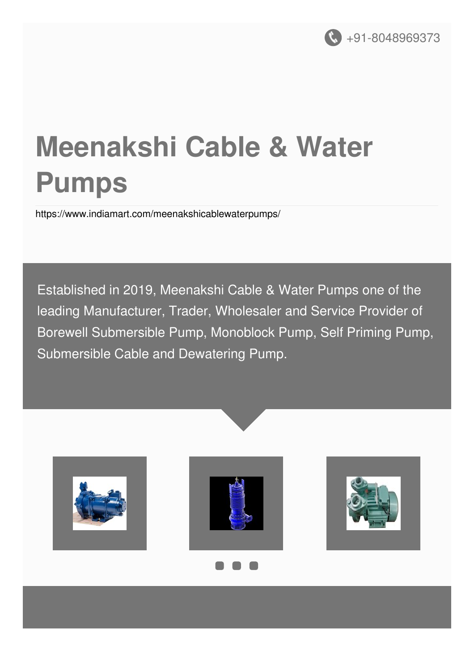

# **Meenakshi Cable & Water Pumps**

<https://www.indiamart.com/meenakshicablewaterpumps/>

Established in 2019, Meenakshi Cable & Water Pumps one of the leading Manufacturer, Trader, Wholesaler and Service Provider of Borewell Submersible Pump, Monoblock Pump, Self Priming Pump, Submersible Cable and Dewatering Pump.





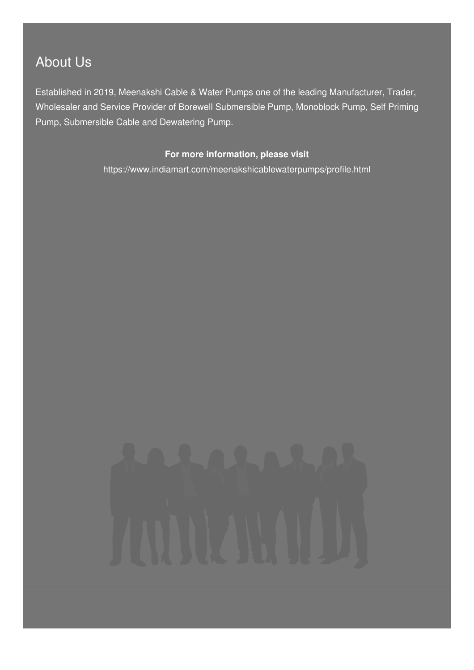### About Us

Established in 2019, Meenakshi Cable & Water Pumps one of the leading Manufacturer, Trader, Wholesaler and Service Provider of Borewell Submersible Pump, Monoblock Pump, Self Priming Pump, Submersible Cable and Dewatering Pump.

#### **For more information, please visit**

<https://www.indiamart.com/meenakshicablewaterpumps/profile.html>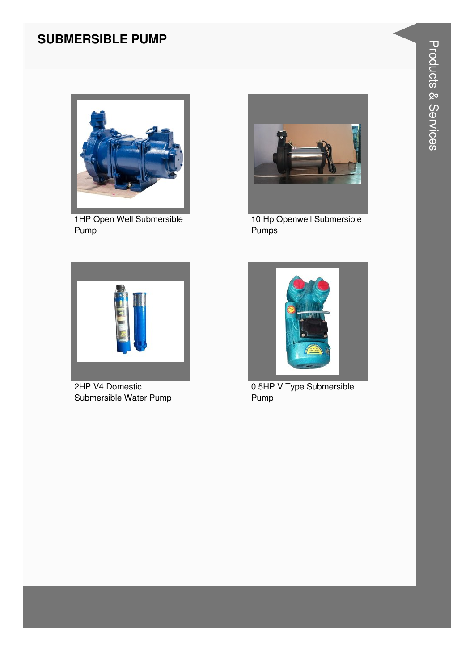#### **SUBMERSIBLE PUMP**



1HP Open Well Submersible Pump



10 Hp Openwell Submersible Pumps



2HP V4 Domestic Submersible Water Pump



0.5HP V Type Submersible Pump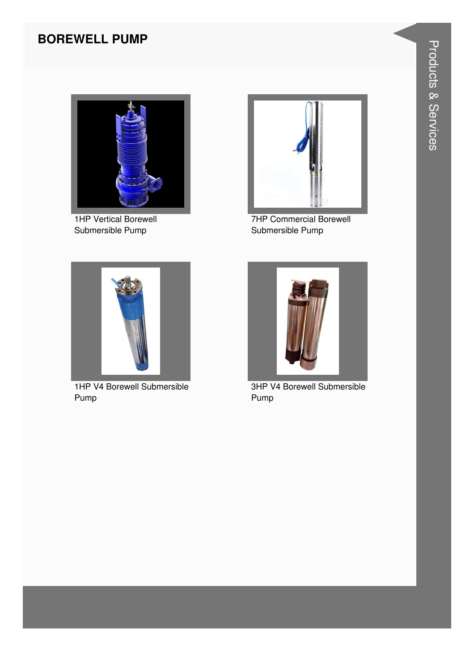#### **BOREWELL PUMP**



**1HP Vertical Borewell** Submersible Pump



**7HP Commercial Borewell** Submersible Pump



1HP V4 Borewell Submersible Pump



**3HP V4 Borewell Submersible** Pump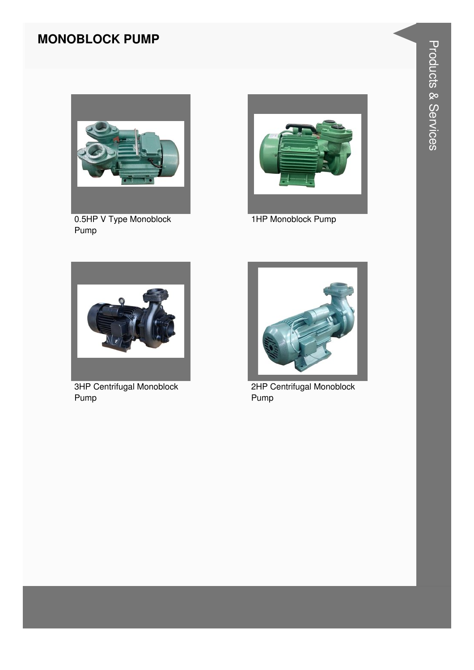#### **MONOBLOCK PUMP**



0.5HP V Type Monoblock Pump



1HP Monoblock Pump



3HP Centrifugal Monoblock Pump



2HP Centrifugal Monoblock Pump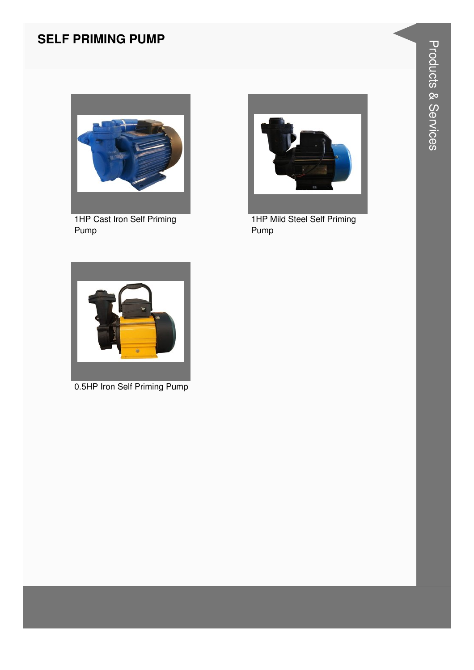#### **SELF PRIMING PUMP**



1HP Cast Iron Self Priming Pump



1HP Mild Steel Self Priming Pump



0.5HP Iron Self Priming Pump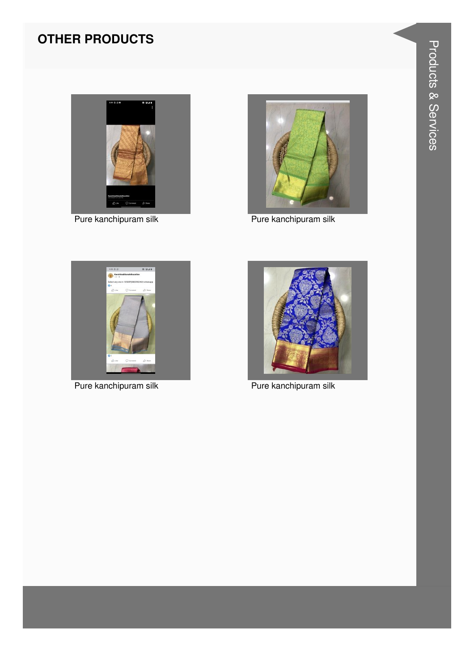

Pure kanchipuram silk



Pure kanchipuram silk



Pure kanchipuram silk



Pure kanchipuram silk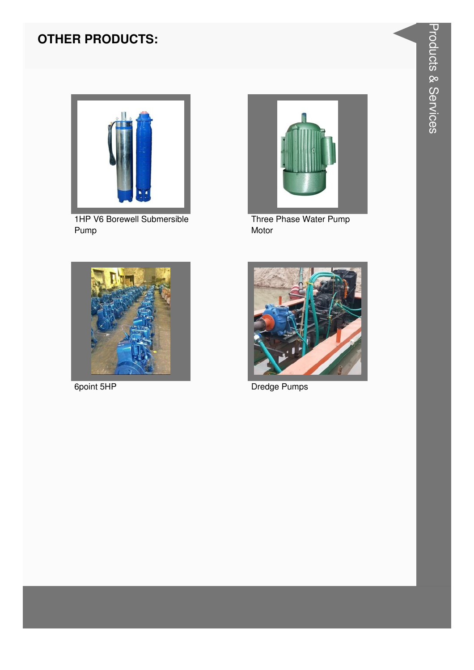

1HP V6 Borewell Submersible Pump



Three Phase Water Pump Motor



6point 5HP



Dredge Pumps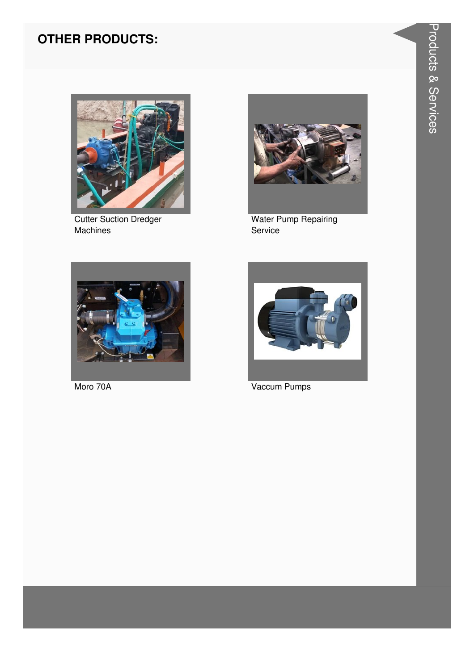

**Cutter Suction Dredger** Machines



**Water Pump Repairing** Service



Moro 70A



Vaccum Pumps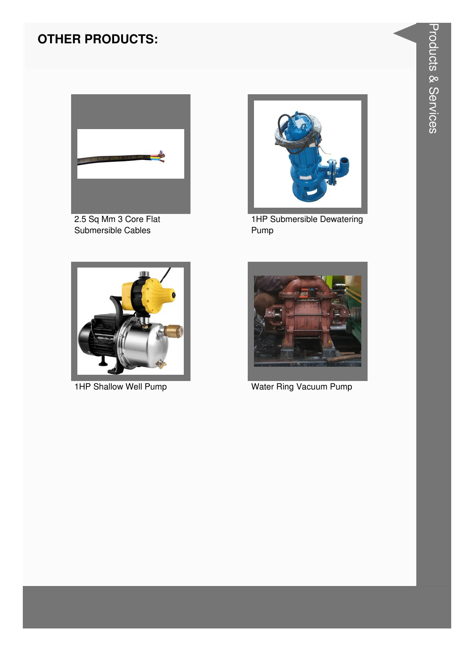

2.5 Sq Mm 3 Core Flat Submersible Cables



1HP Submersible Dewatering Pump



1HP Shallow Well Pump



Water Ring Vacuum Pump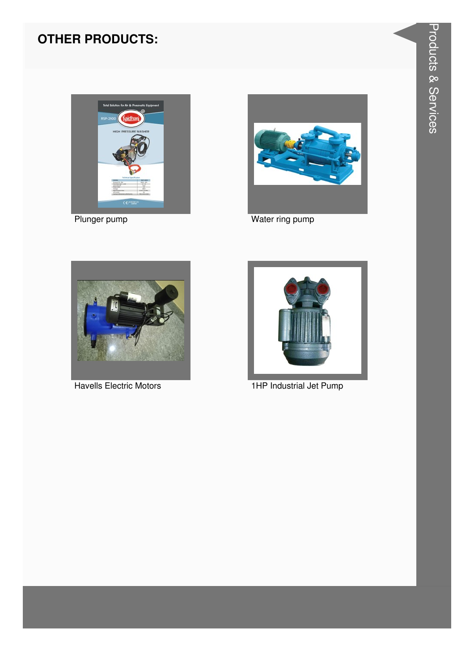

Plunger pump



Water ring pump



**Havells Electric Motors** 



1HP Industrial Jet Pump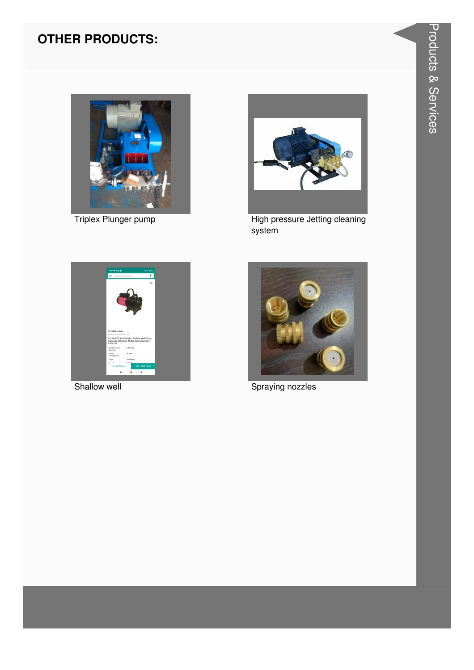

Triplex Plunger pump



High pressure Jetting cleaning system



Shallow well



Spraying nozzles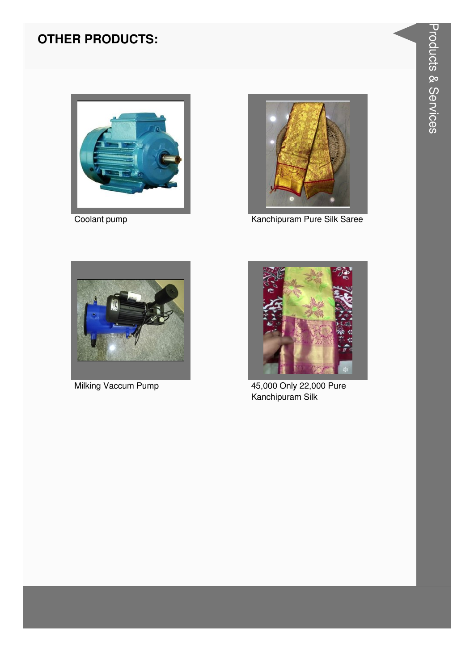

Coolant pump



Kanchipuram Pure Silk Saree



Milking Vaccum Pump



45,000 Only 22,000 Pure<br>Kanchipuram Silk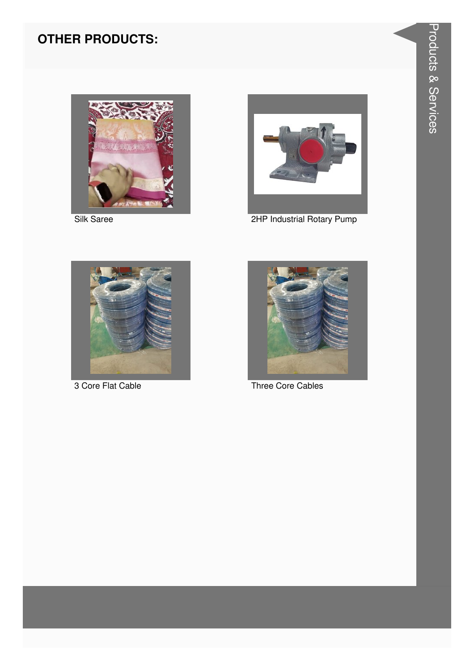

Silk Saree



2HP Industrial Rotary Pump



3 Core Flat Cable



Three Core Cables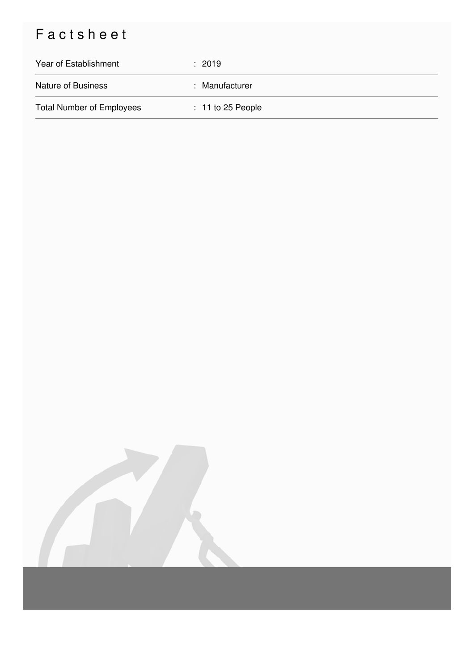## Factsheet

| Year of Establishment            | : 2019              |
|----------------------------------|---------------------|
| <b>Nature of Business</b>        | : Manufacturer      |
| <b>Total Number of Employees</b> | $: 11$ to 25 People |